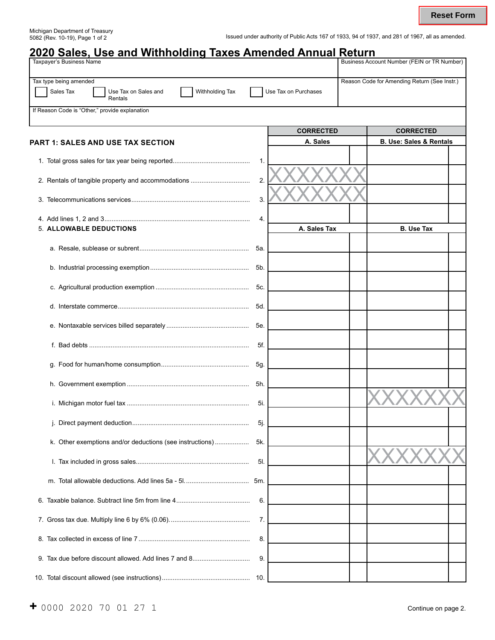| <u>2020 Sales, Use and Withholding Taxes Amended Annual Return</u><br><b>Taxpayer's Business Name</b> |        |                      | Business Account Number (FEIN or TR Number)  |  |
|-------------------------------------------------------------------------------------------------------|--------|----------------------|----------------------------------------------|--|
|                                                                                                       |        |                      |                                              |  |
| Tax type being amended                                                                                |        |                      | Reason Code for Amending Return (See Instr.) |  |
| Sales Tax<br>Withholding Tax<br>Use Tax on Sales and<br>Rentals                                       |        | Use Tax on Purchases |                                              |  |
| If Reason Code is "Other," provide explanation                                                        |        |                      |                                              |  |
|                                                                                                       |        | <b>CORRECTED</b>     | <b>CORRECTED</b>                             |  |
| <b>PART 1: SALES AND USE TAX SECTION</b>                                                              |        | A. Sales             | <b>B. Use: Sales &amp; Rentals</b>           |  |
|                                                                                                       | 1.     |                      |                                              |  |
|                                                                                                       | 2.     |                      |                                              |  |
|                                                                                                       | 3.     |                      |                                              |  |
|                                                                                                       | 4.     |                      |                                              |  |
| 5. ALLOWABLE DEDUCTIONS                                                                               |        | A. Sales Tax         | <b>B. Use Tax</b>                            |  |
|                                                                                                       | 5а.    |                      |                                              |  |
|                                                                                                       | 5b.    |                      |                                              |  |
|                                                                                                       | 5c.    |                      |                                              |  |
|                                                                                                       | 5d.    |                      |                                              |  |
|                                                                                                       | 5e.    |                      |                                              |  |
|                                                                                                       | 5f.    |                      |                                              |  |
|                                                                                                       | 5g.    |                      |                                              |  |
|                                                                                                       | 5h.    |                      |                                              |  |
|                                                                                                       | 5i.    |                      |                                              |  |
|                                                                                                       | $5j$ . |                      |                                              |  |
| k. Other exemptions and/or deductions (see instructions)                                              | 5k.    |                      |                                              |  |
|                                                                                                       | 5I.    |                      |                                              |  |
|                                                                                                       |        |                      |                                              |  |
|                                                                                                       | 6.     |                      |                                              |  |
|                                                                                                       | 7.     |                      |                                              |  |
|                                                                                                       | 8.     |                      |                                              |  |
|                                                                                                       | 9.     |                      |                                              |  |
|                                                                                                       | 10.    |                      |                                              |  |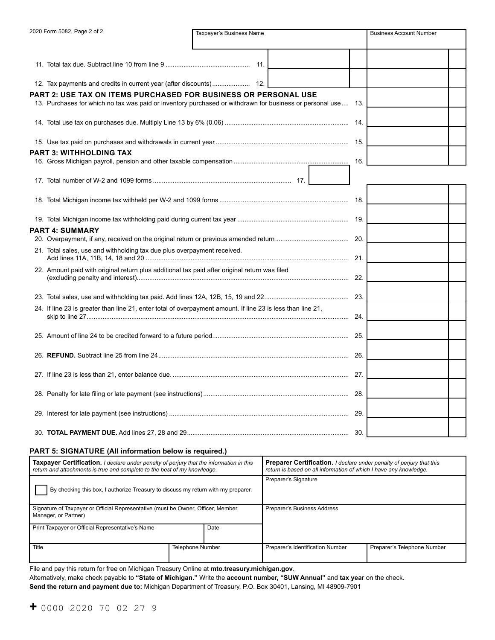| 2020 Form 5082, Page 2 of 2                                             | Taxpayer's Business Name                                                                                     | <b>Business Account Number</b> |
|-------------------------------------------------------------------------|--------------------------------------------------------------------------------------------------------------|--------------------------------|
|                                                                         |                                                                                                              |                                |
|                                                                         |                                                                                                              |                                |
|                                                                         |                                                                                                              |                                |
|                                                                         | PART 2: USE TAX ON ITEMS PURCHASED FOR BUSINESS OR PERSONAL USE                                              |                                |
|                                                                         | 13. Purchases for which no tax was paid or inventory purchased or withdrawn for business or personal use 13. |                                |
|                                                                         |                                                                                                              |                                |
|                                                                         |                                                                                                              |                                |
| <b>PART 3: WITHHOLDING TAX</b>                                          |                                                                                                              |                                |
|                                                                         |                                                                                                              | 16.                            |
|                                                                         |                                                                                                              |                                |
|                                                                         |                                                                                                              |                                |
|                                                                         |                                                                                                              |                                |
| <b>PART 4: SUMMARY</b>                                                  |                                                                                                              |                                |
|                                                                         |                                                                                                              |                                |
| 21. Total sales, use and withholding tax due plus overpayment received. |                                                                                                              |                                |
|                                                                         | 22. Amount paid with original return plus additional tax paid after original return was filed                |                                |
|                                                                         |                                                                                                              |                                |
|                                                                         | 24. If line 23 is greater than line 21, enter total of overpayment amount. If line 23 is less than line 21,  |                                |
|                                                                         |                                                                                                              |                                |
|                                                                         |                                                                                                              |                                |
|                                                                         |                                                                                                              |                                |
|                                                                         |                                                                                                              |                                |
|                                                                         |                                                                                                              |                                |
|                                                                         |                                                                                                              |                                |

### **PART 5: SIGNATURE (All information below is required.)**

| <b>Taxpayer Certification.</b> I declare under penalty of perjury that the information in this<br>return and attachments is true and complete to the best of my knowledge. |                         | <b>Preparer Certification.</b> I declare under penalty of perjury that this<br>return is based on all information of which I have any knowledge. |                             |  |
|----------------------------------------------------------------------------------------------------------------------------------------------------------------------------|-------------------------|--------------------------------------------------------------------------------------------------------------------------------------------------|-----------------------------|--|
| By checking this box, I authorize Treasury to discuss my return with my preparer.                                                                                          |                         | Preparer's Signature                                                                                                                             |                             |  |
| Signature of Taxpayer or Official Representative (must be Owner, Officer, Member,<br>Manager, or Partner)                                                                  |                         | Preparer's Business Address                                                                                                                      |                             |  |
| Print Taxpayer or Official Representative's Name                                                                                                                           | Date                    |                                                                                                                                                  |                             |  |
| Title                                                                                                                                                                      | <b>Telephone Number</b> | Preparer's Identification Number                                                                                                                 | Preparer's Telephone Number |  |

File and pay this return for free on Michigan Treasury Online at **mto.treasury.michigan.gov**.

Alternatively, make check payable to **"State of Michigan."** Write the **account number, "SUW Annual"** and **tax year** on the check.

**Send the return and payment due to:** Michigan Department of Treasury, P.O. Box 30401, Lansing, MI 48909-7901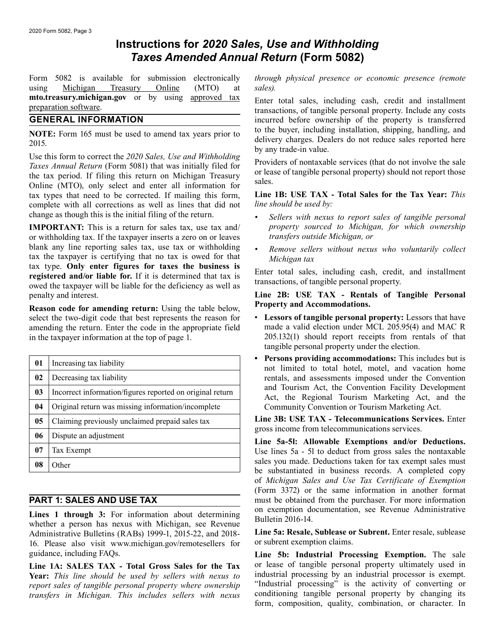# **Instructions for** *2020 Sales, Use and Withholding Taxes Amended Annual Return* **(Form 5082)**

using Michigan Treasury Online (MTO) at *sales).* 

**NOTE:** Form 165 must be used to amend tax years prior to the buyer, including installation, shipping, handling, and delivery charges. Dealers do not reduce sales reported here by any trade-in value.<br>Use this form to corre tax types that need to be corrected. If mailing this form, **Line 1B: USE TAX - Total Sales for the Tax Year:** *This*  complete with all corrections as well as lines that did not change as though this is the initial filing of the return. *• Sellers with nexus to report sales of tangible personal* 

or withholding tax. If the taxpayer inserts a zero on or leaves blank any line reporting sales tax, use tax or withholding blank any line reporting sales tax, use tax or withholding **•** Remove sellers without nexus who voluntarily collect tax the taxpayer is certifying that no tax is owed for that tax type. **Only enter figures for taxes the bu** registered and/or liable for. If it is determined that tax is<br>owed the taxpayer will be liable for the deficiency as well as<br>penalty and interest.<br>Line 2B: USE TAX - Rentals of Tangible Personal

**Property and Accommodations.**<br>Select the two-digit code that best represents the reason for <br>**Property and Accommodations.**<br>Lessors of tangible personal property: Lessors that have select the two-digit code that best represents the reason for **• Lessors of tangible personal property:** Lessors that have amending the return. Enter the code in the appropriate field made a valid election under MCL 205.95 amending the return. Enter the code in the appropriate field in the taxpayer information at the top of page 1. 205.132(1) should report receipts from rentals of that

| 01             | Increasing tax liability                                  |
|----------------|-----------------------------------------------------------|
| 02             | Decreasing tax liability                                  |
| 0 <sub>3</sub> | Incorrect information/figures reported on original return |
| 04             | Original return was missing information/incomplete        |
| 05             | Claiming previously unclaimed prepaid sales tax           |
| 06             | Dispute an adjustment                                     |
| 07             | Tax Exempt                                                |
| 08             | Other                                                     |

**Lines 1 through 3:** For information about determining<br>whether a person has nexus with Michigan, see Revenue<br>Administrative Bulletins (RABs) 1999-1 2015-22 and 2018-<br>**Line 5a: Resale, Sublease or Subrent**. Enter resale, su Administrative Bulletins (RABs) 1999-1, 2015-22, and 2018-<br>16 Please, also visit www.michigan.gov/remotesellers. for or subrent exemption claims. 16. Please also visit www.michigan.gov/remotesellers for

Year: This line should be used by sellers with nexus to *report sales of tangible personal property where ownership* "Industrial processing" is the activity of converting or *transfers in Michigan. This includes sellers with nexus* conditioning tangible personal property by cha *transfers in Michigan. This includes sellers with nexus* 

Form 5082 is available for submission electronically *through physical presence or economic presence (remote* 

**mto.treasury.michigan.gov** or by using approved tax<br> **Enter total sales, including cash, credit and installment**<br> **ENERAL INFORMATION**<br> **EENERAL INFORMATION**<br> **EENERAL INFORMATION** incurred before ownership of the property is transferred to the buyer, including installation, shipping, handling, and

- **IMPORTANT:** This is a return for sales tax, use tax and/ *property sourced to Michigan, for which ownership* or withholding tax. If the taxpaver inserts a zero on or leaves *transfers outside Michigan, or* 
	-

Line 2B: USE TAX - Rentals of Tangible Personal Property and Accommodations.

- tangible personal property under the election.
- Persons providing accommodations: This includes but is not limited to total hotel, motel, and vacation home rentals, and assessments imposed under the Convention and Tourism Act, the Convention Facility Development Act, the Regional Tourism Marketing Act, and the **Community Convention or Tourism Marketing Act.**

**Line 3B: USE TAX - Telecommunications Services.** Enter gross income from telecommunications services.

Line 5a-5l: Allowable Exemptions and/or Deductions. Use lines 5a - 5l to deduct from gross sales the nontaxable sales you made. Deductions taken for tax exempt sales must be substantiated in business records. A completed copy of *Michigan Sales and Use Tax Certificate of Exemption*  (Form 3372) or the same information in another format **PART 1: SALES AND USE TAX** must be obtained from the purchaser. For more information

guidance, including FAQs. **Line 5b: Industrial Processing Exemption.** The sale **Line 1A: SALES TAX** - Total Gross Sales for the Tax or lease of tangible personal property ultimately used in Vear: This line should be used by sellers with nexus to industrial processing by an industrial processor is e form, composition, quality, combination, or character. In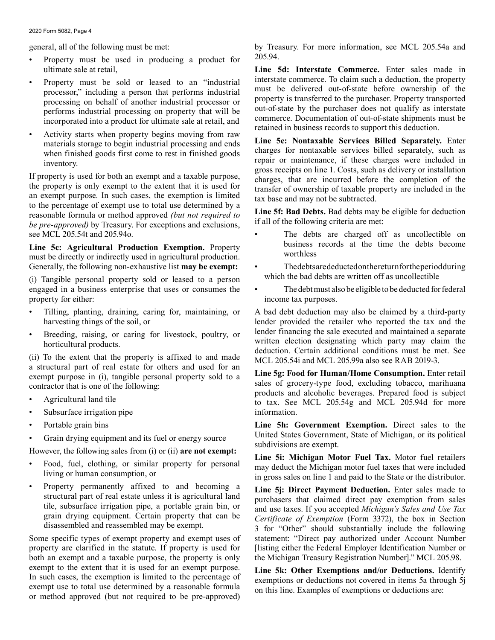- Property must be used in producing a product for  $205.94$ .
- 
- Activity starts when property begins moving from raw

see MCL 205.54t and 205.94o. • The debts are charged off as uncollectible on

must be directly or indirectly used in agricultural production. Generally, the following non-exhaustive list **may be exempt:** • The debts are deducted on the return for the period during

which the bad debts are written off as uncollectible (i) Tangible personal property sold or leased to a person engaged in a business enterprise that uses or consumes the • The debt must also be eligible to be deducted for federal property for either: income tax purposes.

- 
- 

(ii) To the extent that the property is affixed to and made a structural part of real estate for others and used for an

- 
- Subsurface irrigation pipe information.
- 
- 

- 
- 

property are clarified in the statute. If property is used for [listing either the Federal Employer Identification Number or both an exempt and a taxable purpose, the property is only the Michigan Treasury Registration Number]." MCL 205.98. exempt to the extent that it is used for an exempt purpose.<br>
In such cases, the exemption is limited to the percentage of<br>
exemptions or deductions not covered in items 5a through 5j<br>
or method approved (but not required t

general, all of the following must be met: by Treasury. For more information, see MCL 205.54a and

ultimate sale at retail, **Line 5d: Interstate Commerce.** Enter sales made in • Property must be sold or leased to an "industrial interstate commerce. To claim such a deduction, the property processor," including a person that performs industrial must be delivered out-of-state before ownership of th

materials storage to begin industrial processing and ends **Line 5e: Nontaxable Services Billed Separately.** Enter when finished goods first come to rest in finished goods charges for nontaxable services billed separately, when finished goods first come to rest in finished goods<br>inventory.<br>If property is used for both an exempt and a taxable purpose,<br>the property is used for both an exempt and a taxable purpose,<br>the property is only exempt t

- **Line 5c: Agricultural Production Exemption.** Property business records at the time the debts become worth the directly an indirectly year in equivalent production worthless
	-
	-

• Tilling, planting, draining, caring for, maintaining, or A bad debt deduction may also be claimed by a third-party harvesting things of the soil, or **lender provided** the retailer who reported the tax and the Breeding, raising, or caring for livestock, poultry, or<br>horticultural products.<br>To the extent that the property is affixed to and made<br>MCL 205.54i and MCL 205.99a also see RAB 2019-3.

a structural part of real estate for others and used for an<br>exempt purpose in (i), tangible personal property sold to a<br>contractor that is one of the following:<br>Agricultural land tile<br>exempt purpose in (i), tangible person

• Portable grain bins **Line 5h: Government Exemption.** Direct sales to the • Grain drying equipment and its fuel or energy source<br>
However, the following sales from (i) or (ii) are not exempt:<br>
• Food, fuel, clothing, or similar property for personal<br>
• Food, fuel, clothing, or similar property f

Food, fuel, clothing, or similar property for personal may deduct the Michigan motor fuel taxes that were included in gross sales on line 1 and paid to the State or the distributor.<br>Property permanently affixed to and beco

• Property permanently affixed to and becoming a **Line 5j: Direct Payment Deduction.** Enter sales made to structural part of real estate unless it is agricultural land<br>tile, subsurface irrigation pipe, a portable grain bin, or<br>grain drying equipment. Certain property that can be<br>disassembled and reassembled may be exempt.<br>3 fo Some specific types of exempt property and exempt uses of statement: "Direct pay authorized under Account Number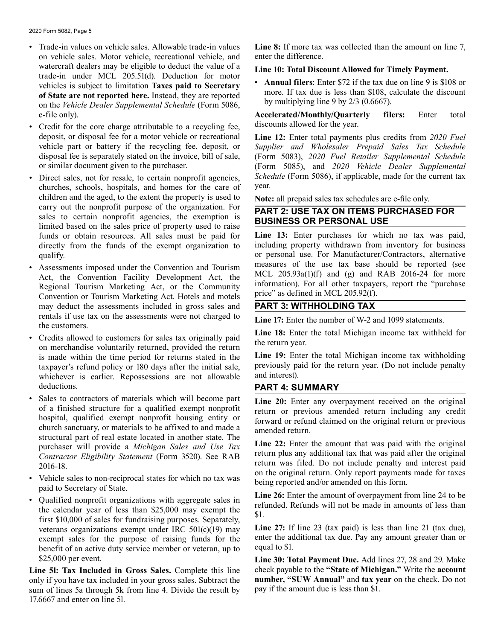- Trade-in values on vehicle sales. Allowable trade-in values **Line 8:** If more tax was collected than the amount on line 7, on vehicle sales. Motor vehicle, recreational vehicle, and enter the difference. watercraft dealers may be eligible to deduct the value of a<br>trade-in under MCL 205.51(d). Deduction for motor<br>**Annual filers**: Enter \$72 if the tax due on line 9 is \$108 or vehicles is subject to limitation Taxes paid to Secretary<br>of State are not reported here. Instead, they are reported<br>on the Vehicle Dealer Supplemental Schedule (Form 5086,<br>by multiplying line 9 by 2/3 (0.6667).
- Credit for the core charge attributable to a recycling fee, deposit, or disposal fee for a motor vehicle or recreational **Line 12:** Enter total payments plus credits from *2020 Fuel*
- churches, schools, hospitals, and homes for the care of children and the aged, to the extent the property is used to **Note:** all prepaid sales tax schedules are e-file only.<br>
carry out the nonprofit purpose of the organization. For **NAPLAY ONLY TAX ONLY THE PUPCLASE** Example the homptoff purpose of the organization. For **PART 2: USE TAX ON ITEMS PURCHASED FOR**<br>sales to certain nonprofit agencies, the exemption is<br>limited based on the sales price of property used to raise<br>funds or obtai funds or obtain resources. All sales must be paid for
- Assessments imposed under the Convention and Tourism<br>Act, the Convention Facility Development Act, the<br>Regional Tourism Marketing Act, or the Community<br>Convention or Tourism Marketing Act, or the Community<br>Convention or may deduct the assessments included in gross sales and rentals if use tax on the assessments were not charged to<br>the customers.<br>Cultural to the customers.<br>Time 18: Enter the total Michigan income tax withheld for
- Credits allowed to customers for sales tax originally paid<br>on merchandise voluntarily returned, provided the return the return year. whichever is earlier. Repossessions are not allowable deductions. **PART 4: SUMMARY**
- Sales to contractors of materials which will become part<br>of a finished structure for a qualified exempt nonprofit<br>hospital, qualified exempt nonprofit housing entity or<br>church sanctuary, or materials to be affixed to and
- 
- Vehicle sales to non-reciprocal states for which no tax was<br>
paid to Secretary of State.<br>
 Qualified nonprofit organizations with aggregate sales in<br>
the calendar year of less than \$25,000 may exempt the<br>
first \$10,000 exempt sales for the purpose of raising funds for the enter the addensity of an active duty service member or veteran up to equal to \$1. benefit of an active duty service member or veteran, up to

**Line 5l: Tax Included in Gross Sales.** Complete this line check payable to the **"State of Michigan."** Write the **account**  only if you have tax included in your gross sales. Subtract the **number, "SUW Annual"** and **tax ye** sum of lines 5a through 5k from line 4. Divide the result by pay if the amount due is less than \$1. sum of lines 5a through 5k from line 4. Divide the result by 17.6667 and enter on line 5l.

e-file only). **Accelerated/Monthly/Quarterly filers:** Enter total

vehicle part or battery if the recycling fee, deposit, or *Supplier and Wholesaler Prepaid Sales Tax Schedule* disposal fee is separately stated on the invoice, bill of sale, (Form 5083), 2020 Fuel Retailer Supplemental Sc disposal fee is separately stated on the invoice, bill of sale, (Form 5083), 2020 Fuel Retailer Supplemental Schedule<br>or similar document given to the purchaser. (Form 5085), and 2020 Vehicle Dealer Supplemental (Form 5085), and 2020 Vehicle Dealer Supplemental • Direct sales, not for resale, to certain nonprofit agencies, *Schedule* (Form 5086), if applicable, made for the current tax churches schools hospitals and homes for the care of year.

directly from the funds of the exempt organization to including property withdrawn from inventory for business qualify.<br>
or personal use. For Manufacturer/Contractors, alternative<br>
Association in the Convention and Tourism<br>
measures of the use tax base should be reported (see

is made within the time period for returns stated in the **Line 19:** Enter the total Michigan income tax withholding taxpayer's refund policy or 180 days after the initial sale, previously paid for the return year. (Do not include penalty whichever is earlier. Repossessions are not allowable and interest).

purchaser will provide a *Michigan Sales and Use Tax*<br>Contractor Eligibility Statement (Form 3520). See RAB<br>2016-18.<br>2016-18. on the original return. Only report payments made for taxes

veterans organizations exempt under IRC  $501(c)(19)$  may **Line 27:** If line 23 (tax paid) is less than line 21 (tax due), exempt sales for the nurnose of raising funds for the enter the additional tax due. Pay any amount gr

\$25,000 per event.<br>**Line 30: Total Payment Due.** Add lines 27, 28 and 29. Make<br>**ne 51: Tax Included in Gross Sales.** Complete this line check payable to the "State of Michigan." Write the account